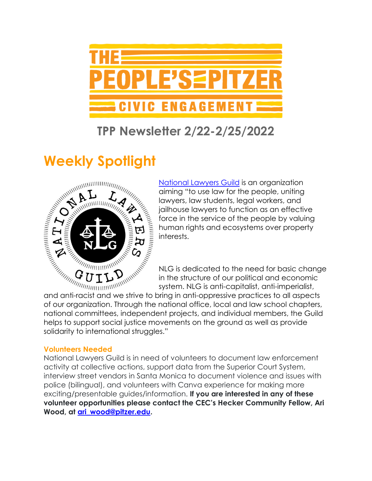

## **TPP Newsletter 2/22-2/25/2022**

# **Weekly Spotlight**



[National Lawyers Guild](https://www.nlg.org/) is an organization aiming "to use law for the people, uniting lawyers, law students, legal workers, and jailhouse lawyers to function as an effective<br>force in the service of the people by valuing<br> $\vec{A}$ <br>interests.<br> $\vec{b}$ <br> $\vec{b}$ <br> $\vec{c}$ <br> $\vec{b}$ <br> $\vec{c}$ <br> $\vec{d}$ <br> $\vec{b}$ <br> $\vec{c}$ <br> $\vec{d}$ <br> $\vec{c}$ <br> $\vec{d}$ <br> $\vec{d}$ <br> $\vec{d}$   $\vec{d}$ force in the service of the people by valuing human rights and ecosystems over property interests.

NLG is dedicated to the need for basic change in the structure of our political and economic system. NLG is anti-capitalist, anti-imperialist,

of our organization. Through the national office, local and law school chapters, national committees, independent projects, and individual members, the Guild helps to support social justice movements on the ground as well as provide solidarity to international struggles."

### **Volunteers Needed**

National Lawyers Guild is in need of volunteers to document law enforcement activity at collective actions, support data from the Superior Court System, interview street vendors in Santa Monica to document violence and issues with police (bilingual), and volunteers with Canva experience for making more exciting/presentable guides/information. **If you are interested in any of these volunteer opportunities please contact the CEC's Hecker Community Fellow, Ari Wood, at [ari\\_wood@pitzer.edu.](mailto:ari_wood@pitzer.edu)**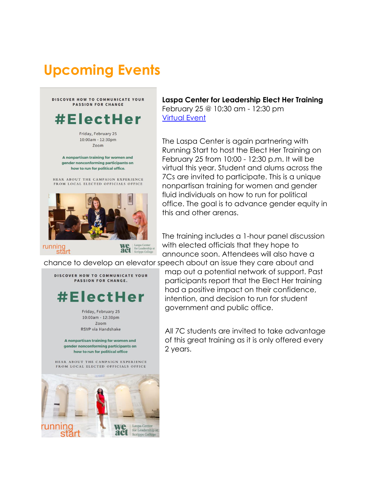## **Upcoming Events**



running<br>start

## **Laspa Center for Leadership Elect Her Training**

February 25 @ 10:30 am - 12:30 pm [Virtual Event](https://app.joinhandshake.com/stu/events/957880)

The Laspa Center is again partnering with Running Start to host the Elect Her Training on February 25 from 10:00 - 12:30 p.m. It will be virtual this year. Student and alums across the 7Cs are invited to participate. This is a unique nonpartisan training for women and gender fluid individuals on how to run for political office. The goal is to advance gender equity in this and other arenas.

The training includes a 1-hour panel discussion with elected officials that they hope to announce soon. Attendees will also have a

chance to develop an elevator speech about an issue they care about and

We laspa Center<br>act for Leadership at<br>scripps College



map out a potential network of support. Past participants report that the Elect Her training had a positive impact on their confidence, intention, and decision to run for student government and public office.

All 7C students are invited to take advantage of this great training as it is only offered every 2 years.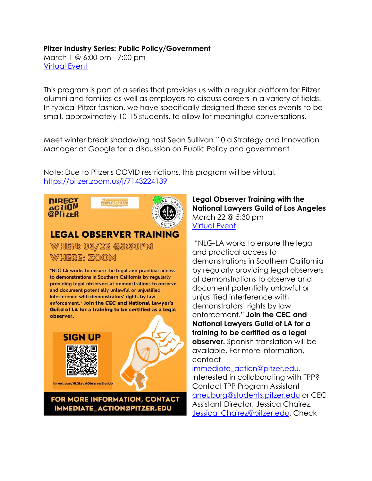#### **Pitzer Industry Series: Public Policy/Government**

March 1 @ 6:00 pm - 7:00 pm [Virtual Event](https://pitzer.joinhandshake.com/stu/events/941652?ref=events-search)

This program is part of a series that provides us with a regular platform for Pitzer alumni and families as well as employers to discuss careers in a variety of fields. In typical Pitzer fashion, we have specifically designed these series events to be small, approximately 10-15 students, to allow for meaningful conversations.

Meet winter break shadowing host Sean Sullivan '10 a Strategy and Innovation Manager at Google for a discussion on Public Policy and government

Note: Due to Pitzer's COVID restrictions, this program will be virtual. <https://pitzer.zoom.us/j/7143224139>



### IMMEDIATE\_ACTION@PITZER.EDU

### **Legal Observer Training with the National Lawyers Guild of Los Angeles** March 22 @ 5:30 pm [Virtual Event](http://tinyurl.com/NLGLegalObserverSignUp)

"NLG-LA works to ensure the legal and practical access to demonstrations in Southern California by regularly providing legal observers at demonstrations to observe and document potentially unlawful or unjustified interference with demonstrators' rights by law enforcement." **Join the CEC and National Lawyers Guild of LA for a training to be certified as a legal observer.** Spanish translation will be available. For more information, contact

[immediate\\_action@pitzer.edu.](mailto:immediate_action@pitzer.edu) Interested in collaborating with TPP? Contact TPP Program Assistant [aneuburg@students.pitzer.edu](mailto:aneuburg@students.pitzer.edu) or CEC Assistant Director, Jessica Chairez, [Jessica\\_Chairez@pitzer.edu.](mailto:Jessica_Chairez@pitzer.edu) Check